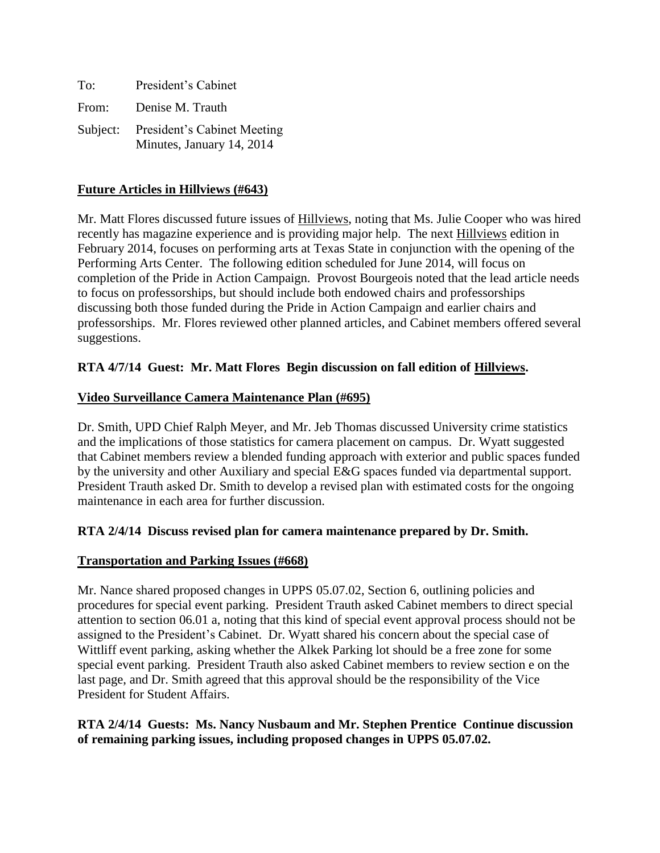| To:   | President's Cabinet                                               |
|-------|-------------------------------------------------------------------|
| From: | Denise M. Trauth                                                  |
|       | Subject: President's Cabinet Meeting<br>Minutes, January 14, 2014 |

# **Future Articles in Hillviews (#643)**

Mr. Matt Flores discussed future issues of Hillviews, noting that Ms. Julie Cooper who was hired recently has magazine experience and is providing major help. The next Hillviews edition in February 2014, focuses on performing arts at Texas State in conjunction with the opening of the Performing Arts Center. The following edition scheduled for June 2014, will focus on completion of the Pride in Action Campaign. Provost Bourgeois noted that the lead article needs to focus on professorships, but should include both endowed chairs and professorships discussing both those funded during the Pride in Action Campaign and earlier chairs and professorships. Mr. Flores reviewed other planned articles, and Cabinet members offered several suggestions.

# **RTA 4/7/14 Guest: Mr. Matt Flores Begin discussion on fall edition of Hillviews.**

## **Video Surveillance Camera Maintenance Plan (#695)**

Dr. Smith, UPD Chief Ralph Meyer, and Mr. Jeb Thomas discussed University crime statistics and the implications of those statistics for camera placement on campus. Dr. Wyatt suggested that Cabinet members review a blended funding approach with exterior and public spaces funded by the university and other Auxiliary and special E&G spaces funded via departmental support. President Trauth asked Dr. Smith to develop a revised plan with estimated costs for the ongoing maintenance in each area for further discussion.

## **RTA 2/4/14 Discuss revised plan for camera maintenance prepared by Dr. Smith.**

## **Transportation and Parking Issues (#668)**

Mr. Nance shared proposed changes in UPPS 05.07.02, Section 6, outlining policies and procedures for special event parking. President Trauth asked Cabinet members to direct special attention to section 06.01 a, noting that this kind of special event approval process should not be assigned to the President's Cabinet. Dr. Wyatt shared his concern about the special case of Wittliff event parking, asking whether the Alkek Parking lot should be a free zone for some special event parking. President Trauth also asked Cabinet members to review section e on the last page, and Dr. Smith agreed that this approval should be the responsibility of the Vice President for Student Affairs.

# **RTA 2/4/14 Guests: Ms. Nancy Nusbaum and Mr. Stephen Prentice Continue discussion of remaining parking issues, including proposed changes in UPPS 05.07.02.**